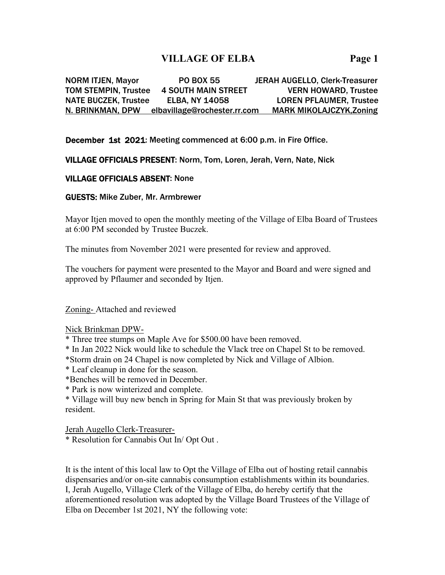# **VILLAGE OF ELBA Page 1**

NORM ITJEN, Mayor PO BOX 55 JERAH AUGELLO, Clerk-Treasurer TOM STEMPIN, Trustee 4 SOUTH MAIN STREET VERN HOWARD, Trustee NATE BUCZEK, Trustee ELBA, NY 14058 LOREN PFLAUMER, Trustee N. BRINKMAN, DPW elbavillage@rochester.rr.com MARK MIKOLAJCZYK,Zoning

December 1st 2021: Meeting commenced at 6:00 p.m. in Fire Office.

VILLAGE OFFICIALS PRESENT: Norm, Tom, Loren, Jerah, Vern, Nate, Nick

#### VILLAGE OFFICIALS ABSENT: None

GUESTS: Mike Zuber, Mr. Armbrewer

Mayor Itjen moved to open the monthly meeting of the Village of Elba Board of Trustees at 6:00 PM seconded by Trustee Buczek.

The minutes from November 2021 were presented for review and approved.

The vouchers for payment were presented to the Mayor and Board and were signed and approved by Pflaumer and seconded by Itjen.

Zoning- Attached and reviewed

Nick Brinkman DPW-

\* Three tree stumps on Maple Ave for \$500.00 have been removed.

\* In Jan 2022 Nick would like to schedule the Vlack tree on Chapel St to be removed.

\*Storm drain on 24 Chapel is now completed by Nick and Village of Albion.

\* Leaf cleanup in done for the season.

\*Benches will be removed in December.

\* Park is now winterized and complete.

\* Village will buy new bench in Spring for Main St that was previously broken by resident.

Jerah Augello Clerk-Treasurer-

\* Resolution for Cannabis Out In/ Opt Out .

It is the intent of this local law to Opt the Village of Elba out of hosting retail cannabis dispensaries and/or on-site cannabis consumption establishments within its boundaries. I, Jerah Augello, Village Clerk of the Village of Elba, do hereby certify that the aforementioned resolution was adopted by the Village Board Trustees of the Village of Elba on December 1st 2021, NY the following vote: